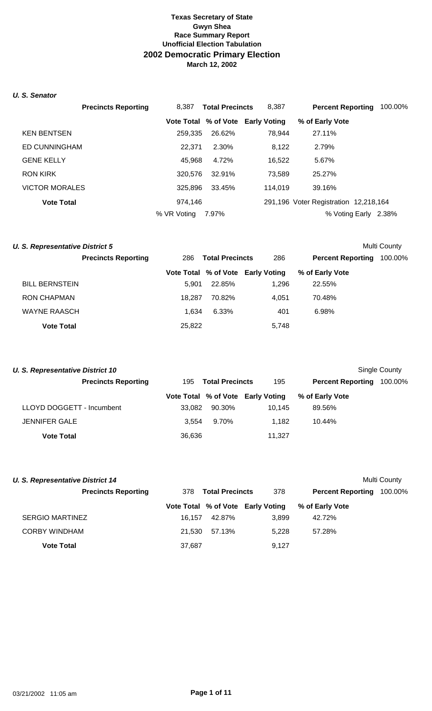## *U. S. Senator*

|                       | <b>Precincts Reporting</b> | 8.387       | <b>Total Precincts</b> | 8.387                             | <b>Percent Reporting</b>              | 100.00% |
|-----------------------|----------------------------|-------------|------------------------|-----------------------------------|---------------------------------------|---------|
|                       |                            |             |                        | Vote Total % of Vote Early Voting | % of Early Vote                       |         |
| <b>KEN BENTSEN</b>    |                            | 259,335     | 26.62%                 | 78.944                            | 27.11%                                |         |
| <b>ED CUNNINGHAM</b>  |                            | 22.371      | 2.30%                  | 8,122                             | 2.79%                                 |         |
| <b>GENE KELLY</b>     |                            | 45,968      | 4.72%                  | 16,522                            | 5.67%                                 |         |
| RON KIRK              |                            | 320,576     | 32.91%                 | 73,589                            | 25.27%                                |         |
| <b>VICTOR MORALES</b> |                            | 325,896     | 33.45%                 | 114.019                           | 39.16%                                |         |
| <b>Vote Total</b>     |                            | 974.146     |                        |                                   | 291,196 Voter Registration 12,218,164 |         |
|                       |                            | % VR Voting | 7.97%                  |                                   | % Voting Early                        | 2.38%   |

| U. S. Representative District 5 |                            |        |                        |                                   |                          | Multi County |
|---------------------------------|----------------------------|--------|------------------------|-----------------------------------|--------------------------|--------------|
|                                 | <b>Precincts Reporting</b> | 286    | <b>Total Precincts</b> | 286                               | <b>Percent Reporting</b> | 100.00%      |
|                                 |                            |        |                        | Vote Total % of Vote Early Voting | % of Early Vote          |              |
| <b>BILL BERNSTEIN</b>           |                            | 5.901  | 22.85%                 | 1,296                             | 22.55%                   |              |
| RON CHAPMAN                     |                            | 18.287 | 70.82%                 | 4.051                             | 70.48%                   |              |
| <b>WAYNE RAASCH</b>             |                            | 1.634  | 6.33%                  | 401                               | 6.98%                    |              |
| <b>Vote Total</b>               |                            | 25,822 |                        | 5,748                             |                          |              |

| Single County<br>U. S. Representative District 10 |        |                        |                                   |                          |         |  |  |
|---------------------------------------------------|--------|------------------------|-----------------------------------|--------------------------|---------|--|--|
| <b>Precincts Reporting</b>                        | 195.   | <b>Total Precincts</b> | 195                               | <b>Percent Reporting</b> | 100.00% |  |  |
|                                                   |        |                        | Vote Total % of Vote Early Voting | % of Early Vote          |         |  |  |
| LLOYD DOGGETT - Incumbent                         | 33.082 | 90.30%                 | 10.145                            | 89.56%                   |         |  |  |
| <b>JENNIFER GALE</b>                              | 3.554  | 9.70%                  | 1.182                             | 10.44%                   |         |  |  |
| <b>Vote Total</b>                                 | 36,636 |                        | 11,327                            |                          |         |  |  |

| <b>U. S. Representative District 14</b> |        |                        |                                   |                          | Multi County |
|-----------------------------------------|--------|------------------------|-----------------------------------|--------------------------|--------------|
| <b>Precincts Reporting</b>              | 378    | <b>Total Precincts</b> | 378                               | <b>Percent Reporting</b> | 100.00%      |
|                                         |        |                        | Vote Total % of Vote Early Voting | % of Early Vote          |              |
| <b>SERGIO MARTINEZ</b>                  | 16.157 | 42.87%                 | 3.899                             | 42.72%                   |              |
| <b>CORBY WINDHAM</b>                    | 21.530 | 57.13%                 | 5.228                             | 57.28%                   |              |
| <b>Vote Total</b>                       | 37,687 |                        | 9.127                             |                          |              |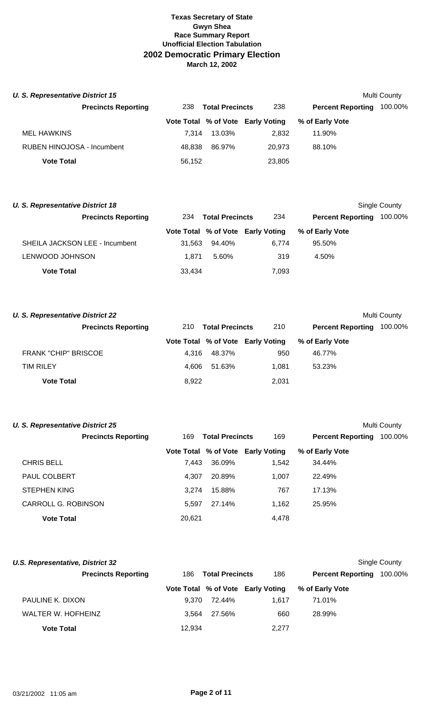| U. S. Representative District 15<br>Multi County |        |                        |                                   |                          |         |  |
|--------------------------------------------------|--------|------------------------|-----------------------------------|--------------------------|---------|--|
| <b>Precincts Reporting</b>                       | 238    | <b>Total Precincts</b> | 238                               | <b>Percent Reporting</b> | 100.00% |  |
|                                                  |        |                        | Vote Total % of Vote Early Voting | % of Early Vote          |         |  |
| <b>MEL HAWKINS</b>                               | 7.314  | 13.03%                 | 2,832                             | 11.90%                   |         |  |
| RUBEN HINOJOSA - Incumbent                       | 48.838 | 86.97%                 | 20.973                            | 88.10%                   |         |  |
| <b>Vote Total</b>                                | 56,152 |                        | 23,805                            |                          |         |  |

| <b>U. S. Representative District 18</b> |        |                        |                                   |                          | Single County |
|-----------------------------------------|--------|------------------------|-----------------------------------|--------------------------|---------------|
| <b>Precincts Reporting</b>              | 234    | <b>Total Precincts</b> | 234                               | <b>Percent Reporting</b> | 100.00%       |
|                                         |        |                        | Vote Total % of Vote Early Voting | % of Early Vote          |               |
| SHEILA JACKSON LEE - Incumbent          | 31.563 | 94.40%                 | 6.774                             | 95.50%                   |               |
| <b>LENWOOD JOHNSON</b>                  | 1.871  | 5.60%                  | 319                               | 4.50%                    |               |
| <b>Vote Total</b>                       | 33.434 |                        | 7,093                             |                          |               |

| <b>U. S. Representative District 22</b> |       |                        |                                   |                          | Multi County |
|-----------------------------------------|-------|------------------------|-----------------------------------|--------------------------|--------------|
| <b>Precincts Reporting</b>              | 210   | <b>Total Precincts</b> | 210                               | <b>Percent Reporting</b> | 100.00%      |
|                                         |       |                        | Vote Total % of Vote Early Voting | % of Early Vote          |              |
| <b>FRANK "CHIP" BRISCOE</b>             | 4.316 | 48.37%                 | 950                               | 46.77%                   |              |
| <b>TIM RILEY</b>                        | 4.606 | 51.63%                 | 1.081                             | 53.23%                   |              |
| <b>Vote Total</b>                       | 8,922 |                        | 2,031                             |                          |              |

| <b>U. S. Representative District 25</b> |                            |        |                        |                                   |                          | Multi County |
|-----------------------------------------|----------------------------|--------|------------------------|-----------------------------------|--------------------------|--------------|
|                                         | <b>Precincts Reporting</b> | 169    | <b>Total Precincts</b> | 169                               | <b>Percent Reporting</b> | 100.00%      |
|                                         |                            |        |                        | Vote Total % of Vote Early Voting | % of Early Vote          |              |
| <b>CHRIS BELL</b>                       |                            | 7.443  | 36.09%                 | 1,542                             | 34.44%                   |              |
| <b>PAUL COLBERT</b>                     |                            | 4.307  | 20.89%                 | 1.007                             | 22.49%                   |              |
| <b>STEPHEN KING</b>                     |                            | 3.274  | 15.88%                 | 767                               | 17.13%                   |              |
| CARROLL G. ROBINSON                     |                            | 5.597  | 27.14%                 | 1,162                             | 25.95%                   |              |
| <b>Vote Total</b>                       |                            | 20,621 |                        | 4,478                             |                          |              |

| U.S. Representative, District 32 |        |                        |                                   |                          | <b>Single County</b> |
|----------------------------------|--------|------------------------|-----------------------------------|--------------------------|----------------------|
| <b>Precincts Reporting</b>       | 186.   | <b>Total Precincts</b> | 186                               | <b>Percent Reporting</b> | 100.00%              |
|                                  |        |                        | Vote Total % of Vote Early Voting | % of Early Vote          |                      |
| PAULINE K. DIXON                 | 9.370  | 72.44%                 | 1.617                             | 71.01%                   |                      |
| WALTER W. HOFHEINZ               | 3.564  | 27.56%                 | 660                               | 28.99%                   |                      |
| <b>Vote Total</b>                | 12.934 |                        | 2.277                             |                          |                      |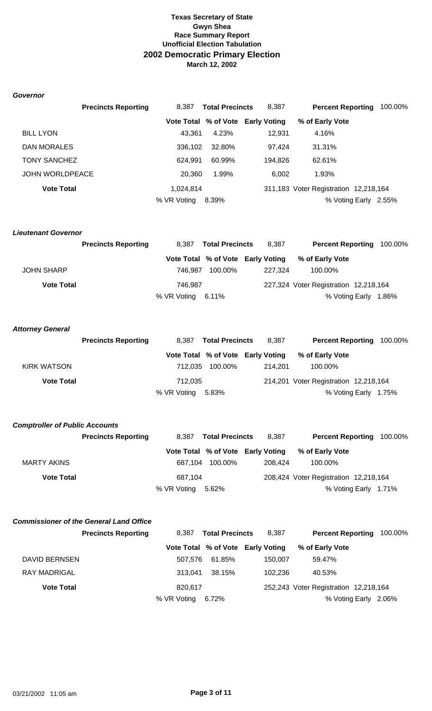#### *Governor*

|                        | <b>Precincts Reporting</b> | 8.387       | <b>Total Precincts</b> | 8,387                             | <b>Percent Reporting</b>              | 100.00%              |
|------------------------|----------------------------|-------------|------------------------|-----------------------------------|---------------------------------------|----------------------|
|                        |                            |             |                        | Vote Total % of Vote Early Voting | % of Early Vote                       |                      |
| <b>BILL LYON</b>       |                            | 43.361      | 4.23%                  | 12.931                            | 4.16%                                 |                      |
| DAN MORALES            |                            | 336.102     | 32.80%                 | 97.424                            | 31.31%                                |                      |
| <b>TONY SANCHEZ</b>    |                            | 624.991     | 60.99%                 | 194.826                           | 62.61%                                |                      |
| <b>JOHN WORLDPEACE</b> |                            | 20.360      | 1.99%                  | 6.002                             | 1.93%                                 |                      |
| <b>Vote Total</b>      |                            | 1,024,814   |                        |                                   | 311,183 Voter Registration 12,218,164 |                      |
|                        |                            | % VR Voting | 8.39%                  |                                   |                                       | % Voting Early 2.55% |

#### *Lieutenant Governor*

|                   | <b>Precincts Reporting</b> | 8.387                | <b>Total Precincts</b> | 8.387                             | <b>Percent Reporting 100.00%</b>      |  |
|-------------------|----------------------------|----------------------|------------------------|-----------------------------------|---------------------------------------|--|
|                   |                            |                      |                        | Vote Total % of Vote Early Voting | % of Early Vote                       |  |
| <b>JOHN SHARP</b> |                            | 746.987              | 100.00%                | 227.324                           | 100.00%                               |  |
| <b>Vote Total</b> |                            | 746.987              |                        |                                   | 227,324 Voter Registration 12,218,164 |  |
|                   |                            | % VR Voting $6.11\%$ |                        |                                   | % Voting Early 1.86%                  |  |

### *Attorney General*

|                   | <b>Precincts Reporting</b> | 8.387             | <b>Total Precincts</b> | 8.387                             | <b>Percent Reporting 100.00%</b>      |  |
|-------------------|----------------------------|-------------------|------------------------|-----------------------------------|---------------------------------------|--|
|                   |                            |                   |                        | Vote Total % of Vote Early Voting | % of Early Vote                       |  |
| KIRK WATSON       |                            |                   | 712,035 100.00%        | 214.201                           | 100.00%                               |  |
| <b>Vote Total</b> |                            | 712.035           |                        |                                   | 214,201 Voter Registration 12,218,164 |  |
|                   |                            | % VR Voting 5.83% |                        |                                   | % Voting Early 1.75%                  |  |

# *Comptroller of Public Accounts*

|                    | <b>Precincts Reporting</b> | 8.387             | <b>Total Precincts</b> | 8.387                             | <b>Percent Reporting</b>              | 100.00%              |
|--------------------|----------------------------|-------------------|------------------------|-----------------------------------|---------------------------------------|----------------------|
|                    |                            |                   |                        | Vote Total % of Vote Early Voting | % of Early Vote                       |                      |
| <b>MARTY AKINS</b> |                            | 687.104           | 100.00%                | 208.424                           | 100.00%                               |                      |
| <b>Vote Total</b>  |                            | 687.104           |                        |                                   | 208,424 Voter Registration 12,218,164 |                      |
|                    |                            | % VR Voting 5.62% |                        |                                   |                                       | % Voting Early 1.71% |

# *Commissioner of the General Land Office*

|                      | <b>Precincts Reporting</b> |             | 8,387 Total Precincts | 8.387                             | <b>Percent Reporting 100.00%</b>      |  |
|----------------------|----------------------------|-------------|-----------------------|-----------------------------------|---------------------------------------|--|
|                      |                            |             |                       | Vote Total % of Vote Early Voting | % of Early Vote                       |  |
| <b>DAVID BERNSEN</b> |                            | 507.576     | 61.85%                | 150.007                           | 59.47%                                |  |
| <b>RAY MADRIGAL</b>  |                            | 313.041     | 38.15%                | 102.236                           | 40.53%                                |  |
| <b>Vote Total</b>    |                            | 820.617     |                       |                                   | 252,243 Voter Registration 12,218,164 |  |
|                      |                            | % VR Voting | 6.72%                 |                                   | % Voting Early 2.06%                  |  |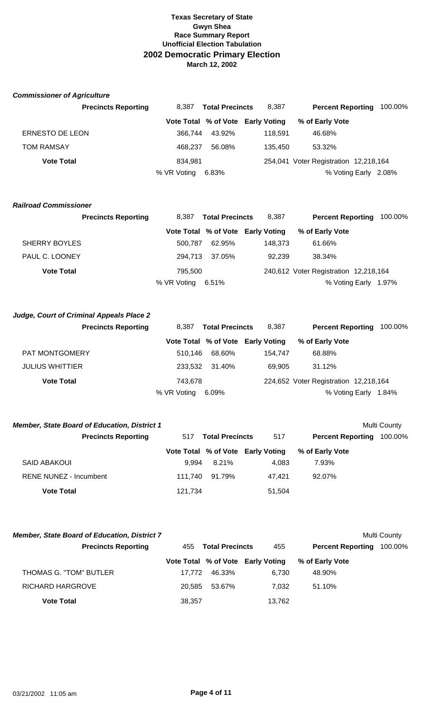## *Commissioner of Agriculture*

| <b>Precincts Reporting</b> | 8.387             | <b>Total Precincts</b> | 8.387                             | <b>Percent Reporting</b>              | 100.00% |
|----------------------------|-------------------|------------------------|-----------------------------------|---------------------------------------|---------|
|                            |                   |                        | Vote Total % of Vote Early Voting | % of Early Vote                       |         |
| <b>ERNESTO DE LEON</b>     | 366.744           | 43.92%                 | 118.591                           | 46.68%                                |         |
| <b>TOM RAMSAY</b>          | 468.237           | 56.08%                 | 135.450                           | 53.32%                                |         |
| <b>Vote Total</b>          | 834.981           |                        |                                   | 254,041 Voter Registration 12,218,164 |         |
|                            | % VR Voting 6.83% |                        |                                   | % Voting Early 2.08%                  |         |

### *Railroad Commissioner*

| <b>Precincts Reporting</b> | 8.387       | <b>Total Precincts</b> | 8,387                             | <b>Percent Reporting 100.00%</b>      |                      |  |
|----------------------------|-------------|------------------------|-----------------------------------|---------------------------------------|----------------------|--|
|                            |             |                        | Vote Total % of Vote Early Voting | % of Early Vote                       |                      |  |
| <b>SHERRY BOYLES</b>       | 500.787     | 62.95%                 | 148.373                           | 61.66%                                |                      |  |
| PAUL C. LOONEY             | 294.713     | 37.05%                 | 92.239                            | 38.34%                                |                      |  |
| <b>Vote Total</b>          | 795.500     |                        |                                   | 240,612 Voter Registration 12,218,164 |                      |  |
|                            | % VR Voting | 6.51%                  |                                   |                                       | % Voting Early 1.97% |  |

## *Judge, Court of Criminal Appeals Place 2*

| <b>Precincts Reporting</b> | 8.387       | <b>Total Precincts</b> | 8.387                             | <b>Percent Reporting 100.00%</b>      |       |
|----------------------------|-------------|------------------------|-----------------------------------|---------------------------------------|-------|
|                            |             |                        | Vote Total % of Vote Early Voting | % of Early Vote                       |       |
| PAT MONTGOMERY             | 510.146     | 68.60%                 | 154.747                           | 68.88%                                |       |
| <b>JULIUS WHITTIER</b>     | 233.532     | 31.40%                 | 69.905                            | 31.12%                                |       |
| <b>Vote Total</b>          | 743.678     |                        |                                   | 224,652 Voter Registration 12,218,164 |       |
|                            | % VR Voting | 6.09%                  |                                   | % Voting Early                        | 1.84% |

| <b>Member, State Board of Education, District 1</b> |         |                        |                                   |                          | Multi County |
|-----------------------------------------------------|---------|------------------------|-----------------------------------|--------------------------|--------------|
| <b>Precincts Reporting</b>                          | 517     | <b>Total Precincts</b> |                                   | <b>Percent Reporting</b> | 100.00%      |
|                                                     |         |                        | Vote Total % of Vote Early Voting | % of Early Vote          |              |
| SAID ABAKOUI                                        | 9.994   | 8.21%                  | 4.083                             | 7.93%                    |              |
| RENE NUNEZ - Incumbent                              | 111.740 | 91.79%                 | 47.421                            | 92.07%                   |              |
| <b>Vote Total</b>                                   | 121,734 |                        | 51,504                            |                          |              |

| <b>Member, State Board of Education, District 7</b> |        |                        |                                   |                          | Multi County |
|-----------------------------------------------------|--------|------------------------|-----------------------------------|--------------------------|--------------|
| <b>Precincts Reporting</b>                          | 455    | <b>Total Precincts</b> | 455                               | <b>Percent Reporting</b> | 100.00%      |
|                                                     |        |                        | Vote Total % of Vote Early Voting | % of Early Vote          |              |
| THOMAS G. "TOM" BUTLER                              | 17.772 | 46.33%                 | 6.730                             | 48.90%                   |              |
| RICHARD HARGROVE                                    | 20.585 | 53.67%                 | 7.032                             | 51.10%                   |              |
| <b>Vote Total</b>                                   | 38,357 |                        | 13,762                            |                          |              |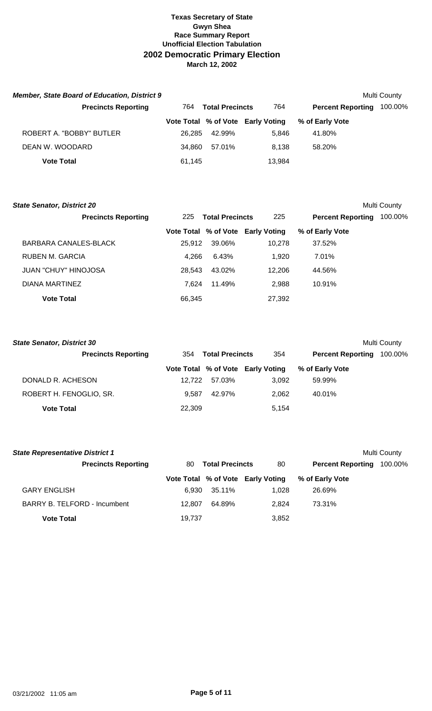| <b>Member, State Board of Education, District 9</b> |        |                        |                                   |                          | Multi County |
|-----------------------------------------------------|--------|------------------------|-----------------------------------|--------------------------|--------------|
| <b>Precincts Reporting</b>                          | 764    | <b>Total Precincts</b> | 764                               | <b>Percent Reporting</b> | 100.00%      |
|                                                     |        |                        | Vote Total % of Vote Early Voting | % of Early Vote          |              |
| ROBERT A. "BOBBY" BUTLER                            | 26.285 | 42.99%                 | 5.846                             | 41.80%                   |              |
| DEAN W. WOODARD                                     | 34.860 | 57.01%                 | 8.138                             | 58.20%                   |              |
| <b>Vote Total</b>                                   | 61,145 |                        | 13,984                            |                          |              |

| <b>State Senator, District 20</b> |        |                        |                                   |                          | <b>Multi County</b> |
|-----------------------------------|--------|------------------------|-----------------------------------|--------------------------|---------------------|
| <b>Precincts Reporting</b>        | 225    | <b>Total Precincts</b> |                                   | <b>Percent Reporting</b> | 100.00%             |
|                                   |        |                        | Vote Total % of Vote Early Voting | % of Early Vote          |                     |
| BARBARA CANALES-BLACK             | 25.912 | 39.06%                 | 10.278                            | 37.52%                   |                     |
| RUBEN M. GARCIA                   | 4.266  | 6.43%                  | 1.920                             | 7.01%                    |                     |
| <b>JUAN "CHUY" HINOJOSA</b>       | 28.543 | 43.02%                 | 12,206                            | 44.56%                   |                     |
| DIANA MARTINEZ                    | 7.624  | 11.49%                 | 2.988                             | 10.91%                   |                     |
| <b>Vote Total</b>                 | 66.345 |                        | 27,392                            |                          |                     |

| <b>State Senator, District 30</b><br>Multi County |        |                        |                                   |                          |         |  |  |  |
|---------------------------------------------------|--------|------------------------|-----------------------------------|--------------------------|---------|--|--|--|
| <b>Precincts Reporting</b>                        | 354    | <b>Total Precincts</b> | 354                               | <b>Percent Reporting</b> | 100.00% |  |  |  |
|                                                   |        |                        | Vote Total % of Vote Early Voting | % of Early Vote          |         |  |  |  |
| DONALD R. ACHESON                                 | 12.722 | 57.03%                 | 3.092                             | 59.99%                   |         |  |  |  |
| ROBERT H. FENOGLIO, SR.                           | 9.587  | 42.97%                 | 2.062                             | 40.01%                   |         |  |  |  |
| <b>Vote Total</b>                                 | 22,309 |                        | 5.154                             |                          |         |  |  |  |

| <b>State Representative District 1</b> |        |                        |                                   |                          | Multi County |
|----------------------------------------|--------|------------------------|-----------------------------------|--------------------------|--------------|
| <b>Precincts Reporting</b>             | 80.    | <b>Total Precincts</b> | 80                                | <b>Percent Reporting</b> | 100.00%      |
|                                        |        |                        | Vote Total % of Vote Early Voting | % of Early Vote          |              |
| <b>GARY ENGLISH</b>                    | 6.930  | 35.11%                 | 1.028                             | 26.69%                   |              |
| <b>BARRY B. TELFORD - Incumbent</b>    | 12.807 | 64.89%                 | 2.824                             | 73.31%                   |              |
| <b>Vote Total</b>                      | 19,737 |                        | 3,852                             |                          |              |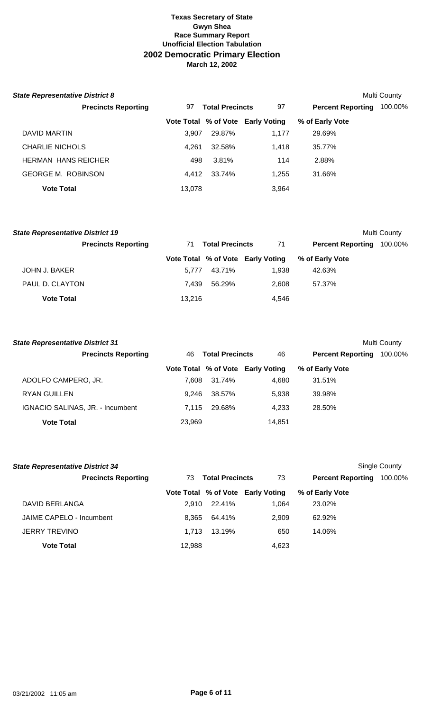| <b>State Representative District 8</b> |        |                        |                                   |                          | Multi County |
|----------------------------------------|--------|------------------------|-----------------------------------|--------------------------|--------------|
| <b>Precincts Reporting</b>             | 97     | <b>Total Precincts</b> | 97                                | <b>Percent Reporting</b> | 100.00%      |
|                                        |        |                        | Vote Total % of Vote Early Voting | % of Early Vote          |              |
| DAVID MARTIN                           | 3.907  | 29.87%                 | 1.177                             | 29.69%                   |              |
| <b>CHARLIE NICHOLS</b>                 | 4.261  | 32.58%                 | 1.418                             | 35.77%                   |              |
| <b>HERMAN HANS REICHER</b>             | 498    | 3.81%                  | 114                               | 2.88%                    |              |
| <b>GEORGE M. ROBINSON</b>              | 4.412  | 33.74%                 | 1.255                             | 31.66%                   |              |
| <b>Vote Total</b>                      | 13,078 |                        | 3,964                             |                          |              |

| <b>State Representative District 19</b> |        |                        |                                   |                          | Multi County |
|-----------------------------------------|--------|------------------------|-----------------------------------|--------------------------|--------------|
| <b>Precincts Reporting</b>              | 71     | <b>Total Precincts</b> | 71                                | <b>Percent Reporting</b> | 100.00%      |
|                                         |        |                        | Vote Total % of Vote Early Voting | % of Early Vote          |              |
| JOHN J. BAKER                           | 5.777  | 43.71%                 | 1.938                             | 42.63%                   |              |
| PAUL D. CLAYTON                         | 7.439  | 56.29%                 | 2.608                             | 57.37%                   |              |
| <b>Vote Total</b>                       | 13.216 |                        | 4.546                             |                          |              |

| <b>State Representative District 31</b> |        |                        |                                   |                          | Multi County |
|-----------------------------------------|--------|------------------------|-----------------------------------|--------------------------|--------------|
| <b>Precincts Reporting</b>              | 46.    | <b>Total Precincts</b> |                                   | <b>Percent Reporting</b> | 100.00%      |
|                                         |        |                        | Vote Total % of Vote Early Voting | % of Early Vote          |              |
| ADOLFO CAMPERO, JR.                     | 7.608  | 31.74%                 | 4,680                             | 31.51%                   |              |
| <b>RYAN GUILLEN</b>                     | 9.246  | 38.57%                 | 5.938                             | 39.98%                   |              |
| IGNACIO SALINAS, JR. - Incumbent        | 7.115  | 29.68%                 | 4.233                             | 28.50%                   |              |
| <b>Vote Total</b>                       | 23.969 |                        | 14.851                            |                          |              |

| <b>State Representative District 34</b> |                              |        |                                   |                          | Single County |
|-----------------------------------------|------------------------------|--------|-----------------------------------|--------------------------|---------------|
| <b>Precincts Reporting</b>              | <b>Total Precincts</b><br>73 |        | 73                                | <b>Percent Reporting</b> | 100.00%       |
|                                         |                              |        | Vote Total % of Vote Early Voting | % of Early Vote          |               |
| DAVID BERLANGA                          | 2.910                        | 22.41% | 1.064                             | 23.02%                   |               |
| JAIME CAPELO - Incumbent                | 8.365                        | 64.41% | 2.909                             | 62.92%                   |               |
| <b>JERRY TREVINO</b>                    | 1.713                        | 13.19% | 650                               | 14.06%                   |               |
| <b>Vote Total</b>                       | 12,988                       |        | 4,623                             |                          |               |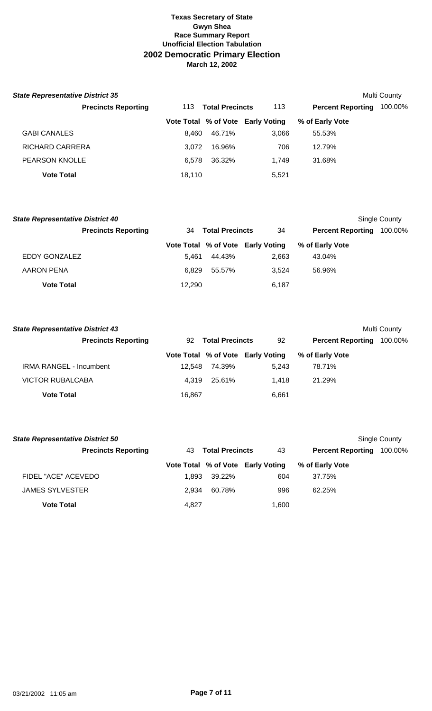| <b>State Representative District 35</b> |        |                        |                                   |                          | Multi County |
|-----------------------------------------|--------|------------------------|-----------------------------------|--------------------------|--------------|
| <b>Precincts Reporting</b>              | 113    | <b>Total Precincts</b> | 113                               | <b>Percent Reporting</b> | 100.00%      |
|                                         |        |                        | Vote Total % of Vote Early Voting | % of Early Vote          |              |
| <b>GABI CANALES</b>                     | 8.460  | 46.71%                 | 3,066                             | 55.53%                   |              |
| RICHARD CARRERA                         | 3.072  | 16.96%                 | 706                               | 12.79%                   |              |
| <b>PEARSON KNOLLE</b>                   | 6.578  | 36.32%                 | 1.749                             | 31.68%                   |              |
| <b>Vote Total</b>                       | 18.110 |                        | 5,521                             |                          |              |

| <b>State Representative District 40</b> |                            |        |                        |                                   |                          | Single County |
|-----------------------------------------|----------------------------|--------|------------------------|-----------------------------------|--------------------------|---------------|
|                                         | <b>Precincts Reporting</b> | 34     | <b>Total Precincts</b> | 34                                | <b>Percent Reporting</b> | 100.00%       |
|                                         |                            |        |                        | Vote Total % of Vote Early Voting | % of Early Vote          |               |
| EDDY GONZALEZ                           |                            | 5.461  | 44.43%                 | 2.663                             | 43.04%                   |               |
| AARON PENA                              |                            | 6.829  | 55.57%                 | 3.524                             | 56.96%                   |               |
| <b>Vote Total</b>                       |                            | 12,290 |                        | 6.187                             |                          |               |

| <b>State Representative District 43</b> |        |                        |                                   |                          | <b>Multi County</b> |
|-----------------------------------------|--------|------------------------|-----------------------------------|--------------------------|---------------------|
| <b>Precincts Reporting</b>              | 92     | <b>Total Precincts</b> | 92                                | <b>Percent Reporting</b> | 100.00%             |
|                                         |        |                        | Vote Total % of Vote Early Voting | % of Early Vote          |                     |
| <b>IRMA RANGEL - Incumbent</b>          | 12.548 | 74.39%                 | 5.243                             | 78.71%                   |                     |
| <b>VICTOR RUBALCABA</b>                 | 4.319  | 25.61%                 | 1.418                             | 21.29%                   |                     |
| <b>Vote Total</b>                       | 16,867 |                        | 6,661                             |                          |                     |

| <b>State Representative District 50</b> |                               |        |                                   |                          | Single County |
|-----------------------------------------|-------------------------------|--------|-----------------------------------|--------------------------|---------------|
| <b>Precincts Reporting</b>              | <b>Total Precincts</b><br>43. |        | 43                                | <b>Percent Reporting</b> | 100.00%       |
|                                         |                               |        | Vote Total % of Vote Early Voting | % of Early Vote          |               |
| FIDEL "ACE" ACEVEDO                     | 1.893                         | 39.22% | 604                               | 37.75%                   |               |
| <b>JAMES SYLVESTER</b>                  | 2.934                         | 60.78% | 996                               | 62.25%                   |               |
| <b>Vote Total</b>                       | 4,827                         |        | 1,600                             |                          |               |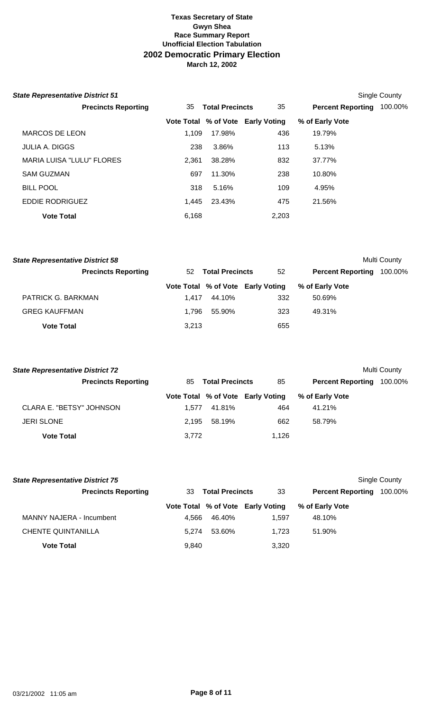| <b>State Representative District 51</b> |       |                        |                                   |                          | <b>Single County</b> |
|-----------------------------------------|-------|------------------------|-----------------------------------|--------------------------|----------------------|
| <b>Precincts Reporting</b>              | 35    | <b>Total Precincts</b> | 35                                | <b>Percent Reporting</b> | 100.00%              |
|                                         |       |                        | Vote Total % of Vote Early Voting | % of Early Vote          |                      |
| MARCOS DE LEON                          | 1,109 | 17.98%                 | 436                               | 19.79%                   |                      |
| <b>JULIA A. DIGGS</b>                   | 238   | 3.86%                  | 113                               | 5.13%                    |                      |
| <b>MARIA LUISA "LULU" FLORES</b>        | 2,361 | 38.28%                 | 832                               | 37.77%                   |                      |
| <b>SAM GUZMAN</b>                       | 697   | 11.30%                 | 238                               | 10.80%                   |                      |
| <b>BILL POOL</b>                        | 318   | 5.16%                  | 109                               | 4.95%                    |                      |
| <b>EDDIE RODRIGUEZ</b>                  | 1.445 | 23.43%                 | 475                               | 21.56%                   |                      |
| <b>Vote Total</b>                       | 6,168 |                        | 2,203                             |                          |                      |

|    |        |                         |                                                             | Multi County |
|----|--------|-------------------------|-------------------------------------------------------------|--------------|
| 52 |        | 52                      | <b>Percent Reporting</b>                                    | 100.00%      |
|    |        |                         | % of Early Vote                                             |              |
|    | 44.10% | 332                     | 50.69%                                                      |              |
|    | 55.90% | 323                     | 49.31%                                                      |              |
|    |        | 655                     |                                                             |              |
|    |        | 1.417<br>1.796<br>3,213 | <b>Total Precincts</b><br>Vote Total % of Vote Early Voting |              |

| <b>State Representative District 72</b> |       |                        |                                   |                          | Multi County |
|-----------------------------------------|-------|------------------------|-----------------------------------|--------------------------|--------------|
| <b>Precincts Reporting</b>              | 85    | <b>Total Precincts</b> |                                   | <b>Percent Reporting</b> | 100.00%      |
|                                         |       |                        | Vote Total % of Vote Early Voting | % of Early Vote          |              |
| CLARA E. "BETSY" JOHNSON                | 1.577 | 41.81%                 | 464                               | 41.21%                   |              |
| <b>JERI SLONE</b>                       | 2.195 | 58.19%                 | 662                               | 58.79%                   |              |
| <b>Vote Total</b>                       | 3,772 |                        | 1.126                             |                          |              |

| <b>State Representative District 75</b> |       |                        |                                   |                          | Single County |
|-----------------------------------------|-------|------------------------|-----------------------------------|--------------------------|---------------|
| <b>Precincts Reporting</b>              | 33    | <b>Total Precincts</b> |                                   | <b>Percent Reporting</b> | 100.00%       |
|                                         |       |                        | Vote Total % of Vote Early Voting | % of Early Vote          |               |
| MANNY NAJERA - Incumbent                | 4.566 | 46.40%                 | 1.597                             | 48.10%                   |               |
| <b>CHENTE QUINTANILLA</b>               | 5.274 | 53.60%                 | 1.723                             | 51.90%                   |               |
| <b>Vote Total</b>                       | 9,840 |                        | 3,320                             |                          |               |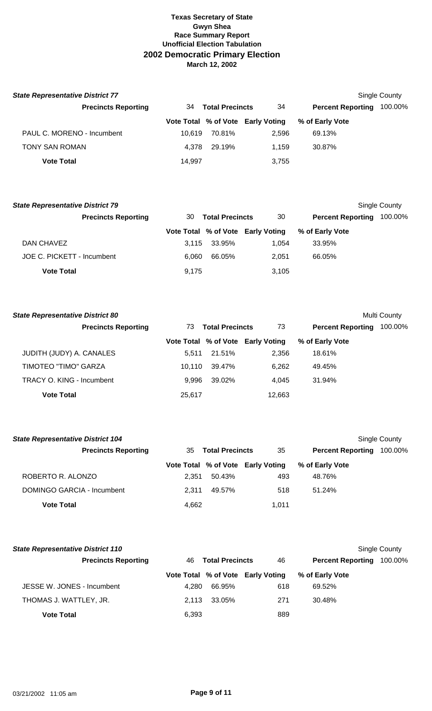| <b>State Representative District 77</b> |                              |        |                                   |                          | Single County |
|-----------------------------------------|------------------------------|--------|-----------------------------------|--------------------------|---------------|
| <b>Precincts Reporting</b>              | <b>Total Precincts</b><br>34 |        | 34                                | <b>Percent Reporting</b> | 100.00%       |
|                                         |                              |        | Vote Total % of Vote Early Voting | % of Early Vote          |               |
| PAUL C. MORENO - Incumbent              | 10.619                       | 70.81% | 2.596                             | 69.13%                   |               |
| <b>TONY SAN ROMAN</b>                   | 4.378                        | 29.19% | 1.159                             | 30.87%                   |               |
| <b>Vote Total</b>                       | 14.997                       |        | 3,755                             |                          |               |

| <b>State Representative District 79</b> |       |                        |                                   |                          | Single County |
|-----------------------------------------|-------|------------------------|-----------------------------------|--------------------------|---------------|
| <b>Precincts Reporting</b>              | 30    | <b>Total Precincts</b> |                                   | <b>Percent Reporting</b> | 100.00%       |
|                                         |       |                        | Vote Total % of Vote Early Voting | % of Early Vote          |               |
| DAN CHAVEZ                              | 3.115 | 33.95%                 | 1.054                             | 33.95%                   |               |
| JOE C. PICKETT - Incumbent              | 6.060 | 66.05%                 | 2.051                             | 66.05%                   |               |
| <b>Vote Total</b>                       | 9,175 |                        | 3,105                             |                          |               |

| <b>State Representative District 80</b> |        |                        |                                   |                          | Multi County |
|-----------------------------------------|--------|------------------------|-----------------------------------|--------------------------|--------------|
| <b>Precincts Reporting</b>              | 73     | <b>Total Precincts</b> | 73                                | <b>Percent Reporting</b> | 100.00%      |
|                                         |        |                        | Vote Total % of Vote Early Voting | % of Early Vote          |              |
| JUDITH (JUDY) A. CANALES                | 5.511  | 21.51%                 | 2,356                             | 18.61%                   |              |
| TIMOTEO "TIMO" GARZA                    | 10.110 | 39.47%                 | 6,262                             | 49.45%                   |              |
| TRACY O. KING - Incumbent               | 9.996  | 39.02%                 | 4.045                             | 31.94%                   |              |
| <b>Vote Total</b>                       | 25,617 |                        | 12,663                            |                          |              |

| <b>State Representative District 104</b> |       |                        |                                   |                          | Single County |
|------------------------------------------|-------|------------------------|-----------------------------------|--------------------------|---------------|
| <b>Precincts Reporting</b>               | 35.   | <b>Total Precincts</b> |                                   | <b>Percent Reporting</b> | 100.00%       |
|                                          |       |                        | Vote Total % of Vote Early Voting | % of Early Vote          |               |
| ROBERTO R. ALONZO                        | 2.351 | 50.43%                 | 493                               | 48.76%                   |               |
| DOMINGO GARCIA - Incumbent               | 2.311 | 49.57%                 | 518                               | $51.24\%$                |               |
| <b>Vote Total</b>                        | 4.662 |                        | 1.011                             |                          |               |

| <b>State Representative District 110</b> |                              |        |                                   |                          | Single County |
|------------------------------------------|------------------------------|--------|-----------------------------------|--------------------------|---------------|
| <b>Precincts Reporting</b>               | <b>Total Precincts</b><br>46 |        | 46                                | <b>Percent Reporting</b> | 100.00%       |
|                                          |                              |        | Vote Total % of Vote Early Voting | % of Early Vote          |               |
| JESSE W. JONES - Incumbent               | 4.280                        | 66.95% | 618                               | 69.52%                   |               |
| THOMAS J. WATTLEY, JR.                   | 2.113                        | 33.05% | 271                               | 30.48%                   |               |
| <b>Vote Total</b>                        | 6,393                        |        | 889                               |                          |               |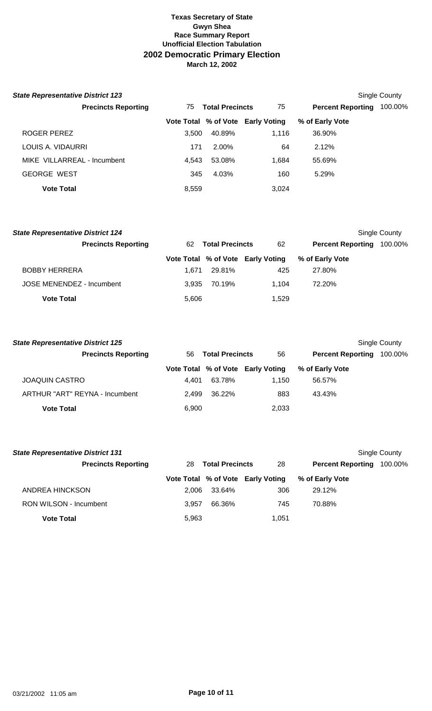| <b>State Representative District 123</b> |                              |        |                                   |                          | Single County |
|------------------------------------------|------------------------------|--------|-----------------------------------|--------------------------|---------------|
| <b>Precincts Reporting</b>               | <b>Total Precincts</b><br>75 |        | 75                                | <b>Percent Reporting</b> | 100.00%       |
|                                          |                              |        | Vote Total % of Vote Early Voting | % of Early Vote          |               |
| ROGER PEREZ                              | 3.500                        | 40.89% | 1.116                             | 36.90%                   |               |
| LOUIS A. VIDAURRI                        | 171                          | 2.00%  | 64                                | 2.12%                    |               |
| MIKE VILLARREAL - Incumbent              | 4.543                        | 53.08% | 1,684                             | 55.69%                   |               |
| <b>GEORGE WEST</b>                       | 345                          | 4.03%  | 160                               | 5.29%                    |               |
| <b>Vote Total</b>                        | 8,559                        |        | 3,024                             |                          |               |

| <b>State Representative District 124</b> |       |                        |                                   |                          | Single County |
|------------------------------------------|-------|------------------------|-----------------------------------|--------------------------|---------------|
| <b>Precincts Reporting</b>               | 62    | <b>Total Precincts</b> | 62                                | <b>Percent Reporting</b> | 100.00%       |
|                                          |       |                        | Vote Total % of Vote Early Voting | % of Early Vote          |               |
| <b>BOBBY HERRERA</b>                     | 1.671 | 29.81%                 | 425                               | 27.80%                   |               |
| JOSE MENENDEZ - Incumbent                | 3.935 | 70.19%                 | 1.104                             | 72.20%                   |               |
| <b>Vote Total</b>                        | 5,606 |                        | 1.529                             |                          |               |

| <b>State Representative District 125</b> |       |                        |                                   |                          | Single County |
|------------------------------------------|-------|------------------------|-----------------------------------|--------------------------|---------------|
| <b>Precincts Reporting</b>               | 56    | <b>Total Precincts</b> | 56                                | <b>Percent Reporting</b> | 100.00%       |
|                                          |       |                        | Vote Total % of Vote Early Voting | % of Early Vote          |               |
| <b>JOAQUIN CASTRO</b>                    | 4.401 | 63.78%                 | 1.150                             | 56.57%                   |               |
| ARTHUR "ART" REYNA - Incumbent           | 2.499 | 36.22%                 | 883                               | 43.43%                   |               |
| <b>Vote Total</b>                        | 6,900 |                        | 2,033                             |                          |               |

| <b>State Representative District 131</b> |       |                        |                                   |                          | Single County |
|------------------------------------------|-------|------------------------|-----------------------------------|--------------------------|---------------|
| <b>Precincts Reporting</b>               | 28    | <b>Total Precincts</b> | 28                                | <b>Percent Reporting</b> | 100.00%       |
|                                          |       |                        | Vote Total % of Vote Early Voting | % of Early Vote          |               |
| ANDREA HINCKSON                          | 2.006 | 33.64%                 | 306                               | 29.12%                   |               |
| <b>RON WILSON - Incumbent</b>            | 3.957 | 66.36%                 | 745                               | 70.88%                   |               |
| <b>Vote Total</b>                        | 5,963 |                        | 1.051                             |                          |               |